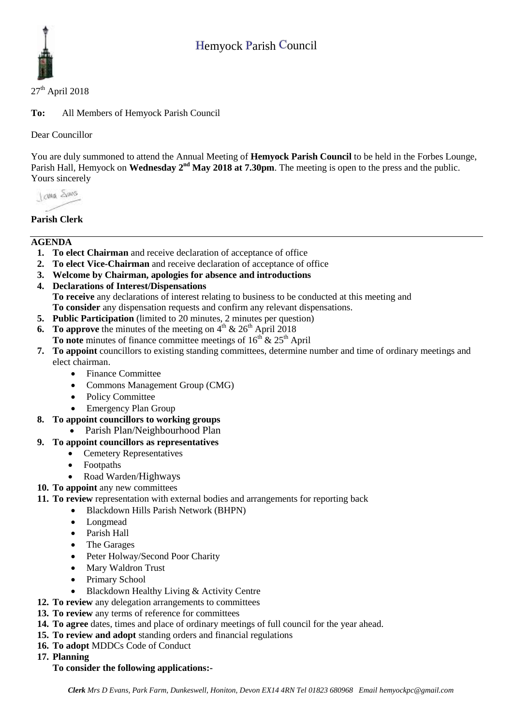# Hemyock Parish Council



### $27<sup>th</sup>$  April 2018

**To:** All Members of Hemyock Parish Council

Dear Councillor

You are duly summoned to attend the Annual Meeting of **Hemyock Parish Council** to be held in the Forbes Lounge, Parish Hall, Hemyock on **Wednesday** 2<sup>nd</sup> May 2018 at 7.30pm. The meeting is open to the press and the public. Yours sincerely

I awa Shans

# **Parish Clerk**

# **AGENDA**

- **1. To elect Chairman** and receive declaration of acceptance of office
- **2. To elect Vice-Chairman** and receive declaration of acceptance of office
- **3. Welcome by Chairman, apologies for absence and introductions**
- **4. Declarations of Interest/Dispensations To receive** any declarations of interest relating to business to be conducted at this meeting and **To consider** any dispensation requests and confirm any relevant dispensations.
- **5. Public Participation** (limited to 20 minutes, 2 minutes per question)
- **6.** To approve the minutes of the meeting on  $4<sup>th</sup>$  &  $26<sup>th</sup>$  April 2018 **To note** minutes of finance committee meetings of  $16<sup>th</sup>$  &  $25<sup>th</sup>$  April
- **7. To appoint** councillors to existing standing committees, determine number and time of ordinary meetings and elect chairman.
	- Finance Committee
	- Commons Management Group (CMG)
	- Policy Committee
	- Emergency Plan Group
- **8. To appoint councillors to working groups**
	- Parish Plan/Neighbourhood Plan

# **9. To appoint councillors as representatives**

- Cemetery Representatives
- Footpaths
- Road Warden/Highways
- **10. To appoint** any new committees
- **11. To review** representation with external bodies and arrangements for reporting back
	- Blackdown Hills Parish Network (BHPN)
		- Longmead
		- Parish Hall
		- The Garages
		- Peter Holway/Second Poor Charity
		- Mary Waldron Trust
		- Primary School
		- Blackdown Healthy Living & Activity Centre
- **12. To review** any delegation arrangements to committees
- **13. To review** any terms of reference for committees
- **14. To agree** dates, times and place of ordinary meetings of full council for the year ahead.
- **15. To review and adopt** standing orders and financial regulations
- **16. To adopt** MDDCs Code of Conduct
- **17. Planning**

# **To consider the following applications:-**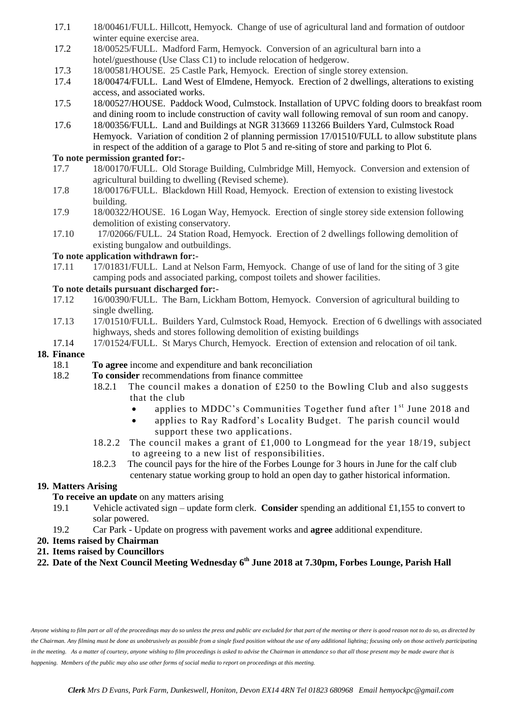- 17.1 18/00461/FULL. Hillcott, Hemyock. Change of use of agricultural land and formation of outdoor winter equine exercise area.
- 17.2 18/00525/FULL. Madford Farm, Hemyock. Conversion of an agricultural barn into a hotel/guesthouse (Use Class C1) to include relocation of hedgerow.
- 17.3 18/00581/HOUSE. 25 Castle Park, Hemyock. Erection of single storey extension.<br>17.4 18/00474/FULL. Land West of Elmdene. Hemyock. Erection of 2 dwellings, alteration
- 17.4 18/00474/FULL. Land West of Elmdene, Hemyock. Erection of 2 dwellings, alterations to existing access, and associated works.
- 17.5 18/00527/HOUSE. Paddock Wood, Culmstock. Installation of UPVC folding doors to breakfast room and dining room to include construction of cavity wall following removal of sun room and canopy.
- 17.6 18/00356/FULL. Land and Buildings at NGR 313669 113266 Builders Yard, Culmstock Road Hemyock. Variation of condition 2 of planning permission 17/01510/FULL to allow substitute plans in respect of the addition of a garage to Plot 5 and re-siting of store and parking to Plot 6.

## **To note permission granted for:-**

- 17.7 18/00170/FULL. Old Storage Building, Culmbridge Mill, Hemyock. Conversion and extension of agricultural building to dwelling (Revised scheme).
- 17.8 18/00176/FULL. Blackdown Hill Road, Hemyock. Erection of extension to existing livestock building.
- 17.9 18/00322/HOUSE. 16 Logan Way, Hemyock. Erection of single storey side extension following demolition of existing conservatory.
- 17.10 17/02066/FULL. 24 Station Road, Hemyock. Erection of 2 dwellings following demolition of existing bungalow and outbuildings.

#### **To note application withdrawn for:-**

17.11 17/01831/FULL. Land at Nelson Farm, Hemyock. Change of use of land for the siting of 3 gite camping pods and associated parking, compost toilets and shower facilities.

#### **To note details pursuant discharged for:-**

- 17.12 16/00390/FULL. The Barn, Lickham Bottom, Hemyock. Conversion of agricultural building to single dwelling.
- 17.13 17/01510/FULL. Builders Yard, Culmstock Road, Hemyock. Erection of 6 dwellings with associated highways, sheds and stores following demolition of existing buildings
- 17.14 17/01524/FULL. St Marys Church, Hemyock. Erection of extension and relocation of oil tank.

#### **18. Finance**

- 18.1 **To agree** income and expenditure and bank reconciliation
- 18.2 **To consider** recommendations from finance committee
	- 18.2.1 The council makes a donation of £250 to the Bowling Club and also suggests that the club
		- applies to MDDC's Communities Together fund after  $1<sup>st</sup>$  June 2018 and
		- applies to Ray Radford's Locality Budget. The parish council would support these two applications.
	- 18.2.2 The council makes a grant of £1,000 to Longmead for the year 18/19, subject to agreeing to a new list of responsibilities.
	- 18.2.3 The council pays for the hire of the Forbes Lounge for 3 hours in June for the calf club centenary statue working group to hold an open day to gather historical information.

#### **19. Matters Arising**

- **To receive an update** on any matters arising
- 19.1 Vehicle activated sign update form clerk. **Consider** spending an additional £1,155 to convert to solar powered.
- 19.2 Car Park Update on progress with pavement works and **agree** additional expenditure.
- **20. Items raised by Chairman**
- **21. Items raised by Councillors**
- **22. Date of the Next Council Meeting Wednesday 6 th June 2018 at 7.30pm, Forbes Lounge, Parish Hall**

*Anyone wishing to film part or all of the proceedings may do so unless the press and public are excluded for that part of the meeting or there is good reason not to do so, as directed by the Chairman. Any filming must be done as unobtrusively as possible from a single fixed position without the use of any additional lighting; focusing only on those actively participating in the meeting. As a matter of courtesy, anyone wishing to film proceedings is asked to advise the Chairman in attendance so that all those present may be made aware that is happening. Members of the public may also use other forms of social media to report on proceedings at this meeting.*